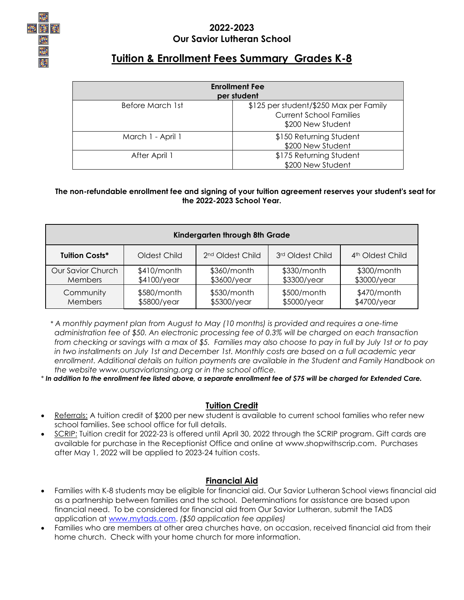

### **2022-2023 Our Savior Lutheran School**

# **Tuition & Enrollment Fees Summary Grades K-8**

| <b>Enrollment Fee</b><br>per student |                                                                                               |  |  |  |
|--------------------------------------|-----------------------------------------------------------------------------------------------|--|--|--|
| Before March 1st                     | \$125 per student/\$250 Max per Family<br><b>Current School Families</b><br>\$200 New Student |  |  |  |
| March 1 - April 1                    | \$150 Returning Student<br>\$200 New Student                                                  |  |  |  |
| After April 1                        | \$175 Returning Student<br>\$200 New Student                                                  |  |  |  |

#### **The non-refundable enrollment fee and signing of your tuition agreement reserves your student's seat for the 2022-2023 School Year.**

| Kindergarten through 8th Grade |              |                              |                  |                              |
|--------------------------------|--------------|------------------------------|------------------|------------------------------|
| <b>Tuition Costs*</b>          | Oldest Child | 2 <sup>nd</sup> Oldest Child | 3rd Oldest Child | 4 <sup>th</sup> Oldest Child |
| Our Savior Church              | \$410/month  | \$360/month                  | \$330/month      | \$300/month                  |
| <b>Members</b>                 | \$4100/year  | \$3600/year                  | \$3300/year      | \$3000/year                  |
| Community                      | \$580/month  | \$530/month                  | \$500/month      | \$470/month                  |
| Members                        | \$5800/year  | \$5300/year                  | \$5000/year      | \$4700/year                  |

 *\* A monthly payment plan from August to May (10 months) is provided and requires a one-time administration fee of \$50. An electronic processing fee of 0.3% will be charged on each transaction from checking or savings with a max of \$5. Families may also choose to pay in full by July 1st or to pay in two installments on July 1st and December 1st. Monthly costs are based on a full academic year enrollment. Additional details on tuition payments are available in the Student and Family Handbook on the website www.oursaviorlansing.org or in the school office.*

*\* In addition to the enrollment fee listed above, a separate enrollment fee of \$75 will be charged for Extended Care.* 

#### **Tuition Credit**

- Referrals: A tuition credit of \$200 per new student is available to current school families who refer new school families. See school office for full details.
- SCRIP: Tuition credit for 2022-23 is offered until April 30, 2022 through the SCRIP program. Gift cards are available for purchase in the Receptionist Office and online at www.shopwithscrip.com. Purchases after May 1, 2022 will be applied to 2023-24 tuition costs.

### **Financial Aid**

- Families with K-8 students may be eligible for financial aid. Our Savior Lutheran School views financial aid as a partnership between families and the school. Determinations for assistance are based upon financial need. To be considered for financial aid from Our Savior Lutheran, submit the TADS application at [www.mytads.com.](http://www.mytads.com/) *(\$50 application fee applies)*
- Families who are members at other area churches have, on occasion, received financial aid from their home church. Check with your home church for more information.